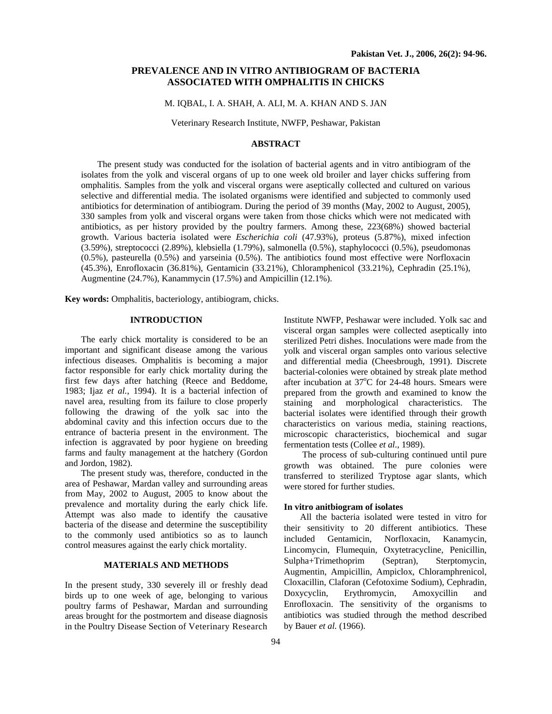## **PREVALENCE AND IN VITRO ANTIBIOGRAM OF BACTERIA ASSOCIATED WITH OMPHALITIS IN CHICKS**

## M. IQBAL, I. A. SHAH, A. ALI, M. A. KHAN AND S. JAN

Veterinary Research Institute, NWFP, Peshawar, Pakistan

## **ABSTRACT**

The present study was conducted for the isolation of bacterial agents and in vitro antibiogram of the isolates from the yolk and visceral organs of up to one week old broiler and layer chicks suffering from omphalitis. Samples from the yolk and visceral organs were aseptically collected and cultured on various selective and differential media. The isolated organisms were identified and subjected to commonly used antibiotics for determination of antibiogram. During the period of 39 months (May, 2002 to August, 2005), 330 samples from yolk and visceral organs were taken from those chicks which were not medicated with antibiotics, as per history provided by the poultry farmers. Among these, 223(68%) showed bacterial growth. Various bacteria isolated were *Escherichia coli* (47.93%), proteus (5.87%), mixed infection (3.59%), streptococci (2.89%), klebsiella (1.79%), salmonella (0.5%), staphylococci (0.5%), pseudomonas (0.5%), pasteurella (0.5%) and yarseinia (0.5%). The antibiotics found most effective were Norfloxacin (45.3%), Enrofloxacin (36.81%), Gentamicin (33.21%), Chloramphenicol (33.21%), Cephradin (25.1%), Augmentine (24.7%), Kanammycin (17.5%) and Ampicillin (12.1%).

**Key words:** Omphalitis, bacteriology, antibiogram, chicks.

## **INTRODUCTION**

The early chick mortality is considered to be an important and significant disease among the various infectious diseases. Omphalitis is becoming a major factor responsible for early chick mortality during the first few days after hatching (Reece and Beddome, 1983; Ijaz *et al.*, 1994). It is a bacterial infection of navel area, resulting from its failure to close properly following the drawing of the yolk sac into the abdominal cavity and this infection occurs due to the entrance of bacteria present in the environment. The infection is aggravated by poor hygiene on breeding farms and faulty management at the hatchery (Gordon and Jordon, 1982).

The present study was, therefore, conducted in the area of Peshawar, Mardan valley and surrounding areas from May, 2002 to August, 2005 to know about the prevalence and mortality during the early chick life. Attempt was also made to identify the causative bacteria of the disease and determine the susceptibility to the commonly used antibiotics so as to launch control measures against the early chick mortality.

# **MATERIALS AND METHODS**

In the present study, 330 severely ill or freshly dead birds up to one week of age, belonging to various poultry farms of Peshawar, Mardan and surrounding areas brought for the postmortem and disease diagnosis in the Poultry Disease Section of Veterinary Research Institute NWFP, Peshawar were included. Yolk sac and visceral organ samples were collected aseptically into sterilized Petri dishes. Inoculations were made from the yolk and visceral organ samples onto various selective and differential media (Cheesbrough, 1991). Discrete bacterial-colonies were obtained by streak plate method after incubation at  $37^{\circ}$ C for 24-48 hours. Smears were prepared from the growth and examined to know the staining and morphological characteristics. The bacterial isolates were identified through their growth characteristics on various media, staining reactions, microscopic characteristics, biochemical and sugar fermentation tests (Collee *et al*., 1989).

The process of sub-culturing continued until pure growth was obtained. The pure colonies were transferred to sterilized Tryptose agar slants, which were stored for further studies.

#### **In vitro anitbiogram of isolates**

All the bacteria isolated were tested in vitro for their sensitivity to 20 different antibiotics. These included Gentamicin, Norfloxacin, Kanamycin, Lincomycin, Flumequin, Oxytetracycline, Penicillin, Sulpha+Trimethoprim (Septran), Sterptomycin, Augmentin, Ampicillin, Ampiclox, Chloramphrenicol, Cloxacillin, Claforan (Cefotoxime Sodium), Cephradin, Doxycyclin, Erythromycin, Amoxycillin and Enrofloxacin. The sensitivity of the organisms to antibiotics was studied through the method described by Bauer *et al.* (1966).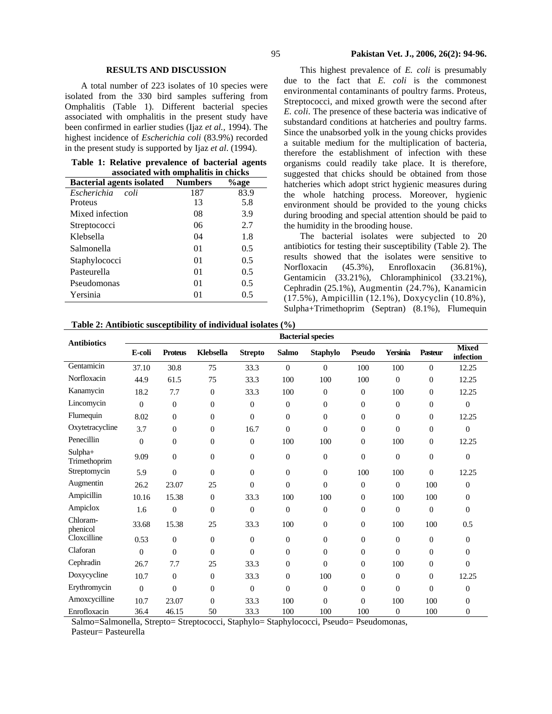## **RESULTS AND DISCUSSION**

A total number of 223 isolates of 10 species were isolated from the 330 bird samples suffering from Omphalitis (Table 1). Different bacterial species associated with omphalitis in the present study have been confirmed in earlier studies (Ijaz *et al.,* 1994). The highest incidence of *Escherichia coli* (83.9%) recorded in the present study is supported by Ijaz *et al*. (1994).

**Table 1: Relative prevalence of bacterial agents associated with omphalitis in chicks** 

| <b>Bacterial agents isolated</b> | <b>Numbers</b> | %age |
|----------------------------------|----------------|------|
| Escherichia<br>coli              | 187            | 83.9 |
| Proteus                          | 13             | 5.8  |
| Mixed infection                  | 08             | 3.9  |
| Streptococci                     | 06             | 2.7  |
| Klebsella                        | 04             | 1.8  |
| Salmonella                       | 01             | 0.5  |
| Staphylococci                    | 01             | 0.5  |
| Pasteurella                      | 01             | 0.5  |
| Pseudomonas                      | 01             | 0.5  |
| Yersinia                         | 01             | 0.5  |

This highest prevalence of *E. coli* is presumably due to the fact that *E. coli* is the commonest environmental contaminants of poultry farms. Proteus, Streptococci*,* and mixed growth were the second after *E. coli*. The presence of these bacteria was indicative of substandard conditions at hatcheries and poultry farms. Since the unabsorbed yolk in the young chicks provides a suitable medium for the multiplication of bacteria, therefore the establishment of infection with these organisms could readily take place. It is therefore, suggested that chicks should be obtained from those hatcheries which adopt strict hygienic measures during the whole hatching process. Moreover, hygienic environment should be provided to the young chicks during brooding and special attention should be paid to the humidity in the brooding house.

The bacterial isolates were subjected to 20 antibiotics for testing their susceptibility (Table 2). The results showed that the isolates were sensitive to Norfloxacin (45.3%), Enrofloxacin (36.81%), Gentamicin (33.21%), Chloramphinicol (33.21%), Cephradin (25.1%), Augmentin (24.7%), Kanamicin (17.5%), Ampicillin (12.1%), Doxycyclin (10.8%), Sulpha+Trimethoprim (Septran) (8.1%), Flumequin

| Table 2: Antibiotic susceptibility of individual isolates (%) |  |  |
|---------------------------------------------------------------|--|--|
|                                                               |  |  |

| <b>Antibiotics</b>      | <b>Bacterial species</b> |                |                  |                |                |                  |                  |              |                  |                           |
|-------------------------|--------------------------|----------------|------------------|----------------|----------------|------------------|------------------|--------------|------------------|---------------------------|
|                         | E-coli                   | <b>Proteus</b> | Klebsella        | <b>Strepto</b> | <b>Salmo</b>   | <b>Staphylo</b>  | <b>Pseudo</b>    | Yersinia     | Pasteur          | <b>Mixed</b><br>infection |
| Gentamicin              | 37.10                    | 30.8           | 75               | 33.3           | $\mathbf{0}$   | $\theta$         | 100              | 100          | $\overline{0}$   | 12.25                     |
| Norfloxacin             | 44.9                     | 61.5           | 75               | 33.3           | 100            | 100              | 100              | $\theta$     | $\overline{0}$   | 12.25                     |
| Kanamycin               | 18.2                     | 7.7            | $\overline{0}$   | 33.3           | 100            | $\overline{0}$   | $\theta$         | 100          | $\overline{0}$   | 12.25                     |
| Lincomycin              | $\overline{0}$           | $\overline{0}$ | $\overline{0}$   | $\mathbf{0}$   | $\mathbf{0}$   | $\overline{0}$   | $\overline{0}$   | $\mathbf{0}$ | $\overline{0}$   | $\overline{0}$            |
| Flumequin               | 8.02                     | $\overline{0}$ | $\overline{0}$   | $\mathbf{0}$   | $\mathbf{0}$   | $\overline{0}$   | $\overline{0}$   | $\mathbf{0}$ | $\overline{0}$   | 12.25                     |
| Oxytetracycline         | 3.7                      | $\theta$       | $\boldsymbol{0}$ | 16.7           | $\overline{0}$ | $\theta$         | $\mathbf{0}$     | $\mathbf{0}$ | $\boldsymbol{0}$ | $\mathbf{0}$              |
| Penecillin              | $\overline{0}$           | $\overline{0}$ | $\overline{0}$   | $\mathbf{0}$   | 100            | 100              | $\theta$         | 100          | $\overline{0}$   | 12.25                     |
| Sulpha+<br>Trimethoprim | 9.09                     | $\theta$       | $\overline{0}$   | $\Omega$       | $\mathbf{0}$   | $\overline{0}$   | $\overline{0}$   | $\Omega$     | $\overline{0}$   | $\Omega$                  |
| Streptomycin            | 5.9                      | $\overline{0}$ | $\overline{0}$   | $\mathbf{0}$   | $\overline{0}$ | $\boldsymbol{0}$ | 100              | 100          | $\Omega$         | 12.25                     |
| Augmentin               | 26.2                     | 23.07          | 25               | $\Omega$       | $\theta$       | $\mathbf{0}$     | $\overline{0}$   | $\theta$     | 100              | $\mathbf{0}$              |
| Ampicillin              | 10.16                    | 15.38          | $\boldsymbol{0}$ | 33.3           | 100            | 100              | $\boldsymbol{0}$ | 100          | 100              | $\overline{0}$            |
| Ampiclox                | 1.6                      | $\overline{0}$ | $\overline{0}$   | $\mathbf{0}$   | $\overline{0}$ | $\boldsymbol{0}$ | $\boldsymbol{0}$ | $\Omega$     | $\overline{0}$   | $\mathbf{0}$              |
| Chloram-<br>phenicol    | 33.68                    | 15.38          | 25               | 33.3           | 100            | $\boldsymbol{0}$ | $\mathbf{0}$     | 100          | 100              | 0.5                       |
| Cloxcilline             | 0.53                     | $\overline{0}$ | $\overline{0}$   | $\Omega$       | $\theta$       | $\overline{0}$   | $\boldsymbol{0}$ | $\mathbf{0}$ | $\overline{0}$   | $\mathbf{0}$              |
| Claforan                | $\mathbf{0}$             | $\theta$       | $\theta$         | $\Omega$       | $\overline{0}$ | $\theta$         | $\theta$         | $\Omega$     | $\overline{0}$   | $\overline{0}$            |
| Cephradin               | 26.7                     | 7.7            | 25               | 33.3           | $\theta$       | $\overline{0}$   | $\overline{0}$   | 100          | $\overline{0}$   | $\Omega$                  |
| Doxycycline             | 10.7                     | $\theta$       | $\overline{0}$   | 33.3           | $\theta$       | 100              | $\overline{0}$   | $\Omega$     | $\overline{0}$   | 12.25                     |
| Erythromycin            | $\mathbf{0}$             | $\overline{0}$ | $\overline{0}$   | $\mathbf{0}$   | $\overline{0}$ | $\overline{0}$   | $\overline{0}$   | $\mathbf{0}$ | $\overline{0}$   | 0                         |
| Amoxcycilline           | 10.7                     | 23.07          | $\overline{0}$   | 33.3           | 100            | $\mathbf{0}$     | $\overline{0}$   | 100          | 100              | $\overline{0}$            |
| Enrofloxacin            | 36.4                     | 46.15          | 50               | 33.3           | 100            | 100              | 100              | $\mathbf{0}$ | 100              | $\overline{0}$            |

Salmo=Salmonella, Strepto= Streptococci, Staphylo= Staphylococci, Pseudo= Pseudomonas,

Pasteur= Pasteurella